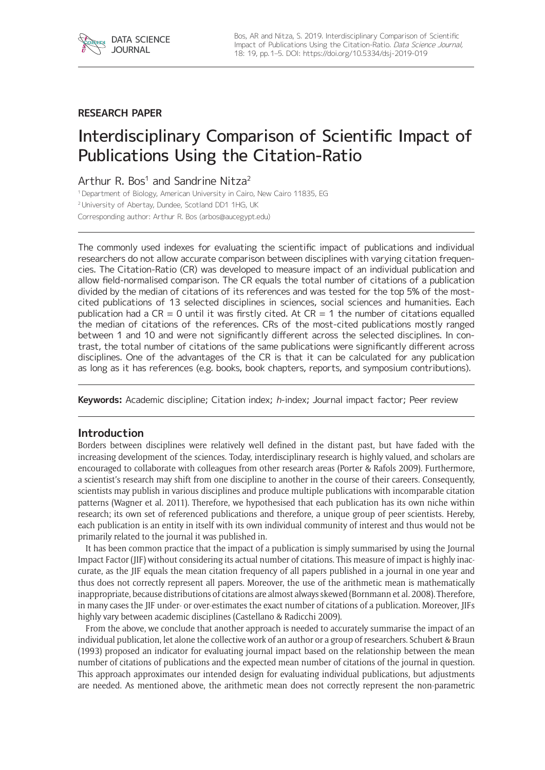

## **RESEARCH PAPER**

# Interdisciplinary Comparison of Scientific Impact of Publications Using the Citation-Ratio

Arthur R. Bos<sup>1</sup> and Sandrine Nitza<sup>2</sup>

<sup>1</sup> Department of Biology, American University in Cairo, New Cairo 11835, EG

<sup>2</sup>University of Abertay, Dundee, Scotland DD1 1HG, UK

Corresponding author: Arthur R. Bos [\(arbos@aucegypt.edu\)](mailto:arbos@aucegypt.edu)

The commonly used indexes for evaluating the scientific impact of publications and individual researchers do not allow accurate comparison between disciplines with varying citation frequencies. The Citation-Ratio (CR) was developed to measure impact of an individual publication and allow field-normalised comparison. The CR equals the total number of citations of a publication divided by the median of citations of its references and was tested for the top 5% of the mostcited publications of 13 selected disciplines in sciences, social sciences and humanities. Each publication had a  $CR = 0$  until it was firstly cited. At  $CR = 1$  the number of citations equalled the median of citations of the references. CRs of the most-cited publications mostly ranged between 1 and 10 and were not significantly different across the selected disciplines. In contrast, the total number of citations of the same publications were significantly different across disciplines. One of the advantages of the CR is that it can be calculated for any publication as long as it has references (e.g. books, book chapters, reports, and symposium contributions).

**Keywords:** Academic discipline; Citation index; h-index; Journal impact factor; Peer review

## **Introduction**

Borders between disciplines were relatively well defined in the distant past, but have faded with the increasing development of the sciences. Today, interdisciplinary research is highly valued, and scholars are encouraged to collaborate with colleagues from other research areas (Porter & Rafols 2009). Furthermore, a scientist's research may shift from one discipline to another in the course of their careers. Consequently, scientists may publish in various disciplines and produce multiple publications with incomparable citation patterns (Wagner et al. 2011). Therefore, we hypothesised that each publication has its own niche within research; its own set of referenced publications and therefore, a unique group of peer scientists. Hereby, each publication is an entity in itself with its own individual community of interest and thus would not be primarily related to the journal it was published in.

It has been common practice that the impact of a publication is simply summarised by using the Journal Impact Factor (JIF) without considering its actual number of citations. This measure of impact is highly inaccurate, as the JIF equals the mean citation frequency of all papers published in a journal in one year and thus does not correctly represent all papers. Moreover, the use of the arithmetic mean is mathematically inappropriate, because distributions of citations are almost always skewed (Bornmann et al. 2008). Therefore, in many cases the JIF under- or over-estimates the exact number of citations of a publication. Moreover, JIFs highly vary between academic disciplines (Castellano & Radicchi 2009).

From the above, we conclude that another approach is needed to accurately summarise the impact of an individual publication, let alone the collective work of an author or a group of researchers. Schubert & Braun (1993) proposed an indicator for evaluating journal impact based on the relationship between the mean number of citations of publications and the expected mean number of citations of the journal in question. This approach approximates our intended design for evaluating individual publications, but adjustments are needed. As mentioned above, the arithmetic mean does not correctly represent the non-parametric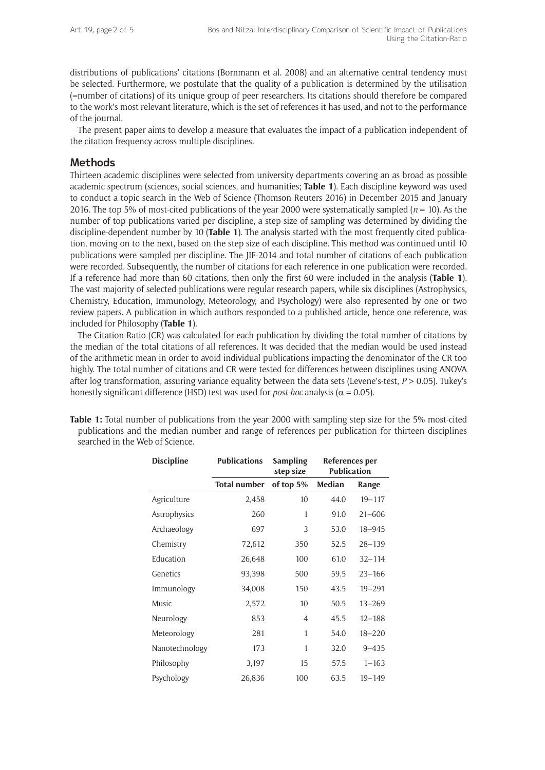distributions of publications' citations (Bornmann et al. 2008) and an alternative central tendency must be selected. Furthermore, we postulate that the quality of a publication is determined by the utilisation (=number of citations) of its unique group of peer researchers. Its citations should therefore be compared to the work's most relevant literature, which is the set of references it has used, and not to the performance of the journal.

The present paper aims to develop a measure that evaluates the impact of a publication independent of the citation frequency across multiple disciplines.

#### **Methods**

Thirteen academic disciplines were selected from university departments covering an as broad as possible academic spectrum (sciences, social sciences, and humanities; **Table 1**). Each discipline keyword was used to conduct a topic search in the Web of Science (Thomson Reuters 2016) in December 2015 and January 2016. The top 5% of most-cited publications of the year 2000 were systematically sampled ( $n = 10$ ). As the number of top publications varied per discipline, a step size of sampling was determined by dividing the discipline-dependent number by 10 (**Table 1**). The analysis started with the most frequently cited publication, moving on to the next, based on the step size of each discipline. This method was continued until 10 publications were sampled per discipline. The JIF-2014 and total number of citations of each publication were recorded. Subsequently, the number of citations for each reference in one publication were recorded. If a reference had more than 60 citations, then only the first 60 were included in the analysis (**Table 1**). The vast majority of selected publications were regular research papers, while six disciplines (Astrophysics, Chemistry, Education, Immunology, Meteorology, and Psychology) were also represented by one or two review papers. A publication in which authors responded to a published article, hence one reference, was included for Philosophy (**Table 1**).

The Citation-Ratio (CR) was calculated for each publication by dividing the total number of citations by the median of the total citations of all references. It was decided that the median would be used instead of the arithmetic mean in order to avoid individual publications impacting the denominator of the CR too highly. The total number of citations and CR were tested for differences between disciplines using ANOVA after log transformation, assuring variance equality between the data sets (Levene's-test, *P* > 0.05). Tukey's honestly significant difference (HSD) test was used for *post-hoc* analysis ( $\alpha$  = 0.05).

| <b>Discipline</b> | <b>Publications</b> | <b>Sampling</b><br>step size | References per<br><b>Publication</b> |            |
|-------------------|---------------------|------------------------------|--------------------------------------|------------|
|                   | <b>Total number</b> | of top 5%                    | Median                               | Range      |
| Agriculture       | 2,458               | 10                           | 44.0                                 | $19 - 117$ |
| Astrophysics      | 260                 | 1                            | 91.0                                 | $21 - 606$ |
| Archaeology       | 697                 | 3                            | 53.0                                 | $18 - 945$ |
| Chemistry         | 72,612              | 350                          | 52.5                                 | $28 - 139$ |
| Education         | 26,648              | 100                          | 61.0                                 | $32 - 114$ |
| Genetics          | 93,398              | 500                          | 59.5                                 | $23 - 166$ |
| Immunology        | 34,008              | 150                          | 43.5                                 | $19 - 291$ |
| Music             | 2,572               | 10                           | 50.5                                 | $13 - 269$ |
| Neurology         | 853                 | $\overline{4}$               | 45.5                                 | $12 - 188$ |
| Meteorology       | 281                 | 1                            | 54.0                                 | $18 - 220$ |
| Nanotechnology    | 173                 | 1                            | 32.0                                 | $9 - 435$  |
| Philosophy        | 3,197               | 15                           | 57.5                                 | $1 - 163$  |
| Psychology        | 26,836              | 100                          | 63.5                                 | $19 - 149$ |

**Table 1:** Total number of publications from the year 2000 with sampling step size for the 5% most-cited publications and the median number and range of references per publication for thirteen disciplines searched in the Web of Science.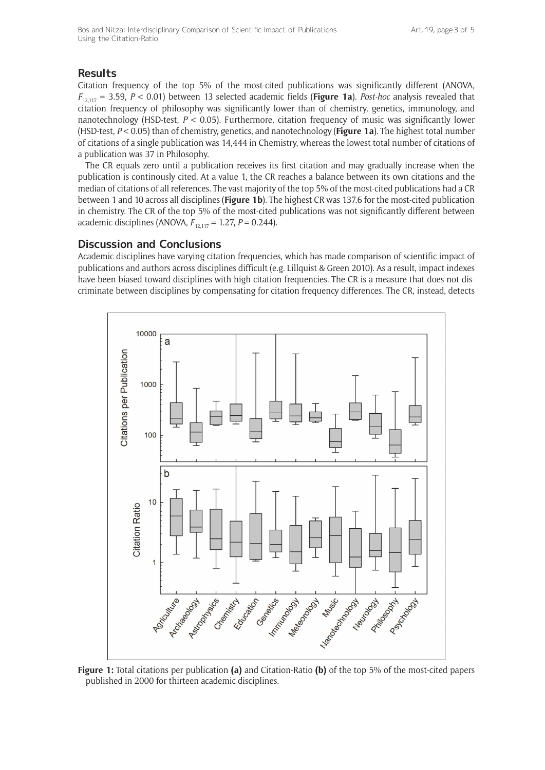# **Results**

Citation frequency of the top 5% of the most-cited publications was significantly different (ANOVA, *F*12,117 = 3.59, *P* < 0.01) between 13 selected academic fields (**Figure 1a**). *Post-hoc* analysis revealed that citation frequency of philosophy was significantly lower than of chemistry, genetics, immunology, and nanotechnology (HSD-test, *P* < 0.05). Furthermore, citation frequency of music was significantly lower (HSD-test, *P* < 0.05) than of chemistry, genetics, and nanotechnology (**Figure 1a**). The highest total number of citations of a single publication was 14,444 in Chemistry, whereas the lowest total number of citations of a publication was 37 in Philosophy.

The CR equals zero until a publication receives its first citation and may gradually increase when the publication is continously cited. At a value 1, the CR reaches a balance between its own citations and the median of citations of all references. The vast majority of the top 5% of the most-cited publications had a CR between 1 and 10 across all disciplines (**Figure 1b**). The highest CR was 137.6 for the most-cited publication in chemistry. The CR of the top 5% of the most-cited publications was not significantly different between academic disciplines (ANOVA,  $F_{12,117} = 1.27$ ,  $P = 0.244$ ).

#### **Discussion and Conclusions**

Academic disciplines have varying citation frequencies, which has made comparison of scientific impact of publications and authors across disciplines difficult (e.g. Lillquist & Green 2010). As a result, impact indexes have been biased toward disciplines with high citation frequencies. The CR is a measure that does not discriminate between disciplines by compensating for citation frequency differences. The CR, instead, detects



**Figure 1:** Total citations per publication **(a)** and Citation-Ratio **(b)** of the top 5% of the most-cited papers published in 2000 for thirteen academic disciplines.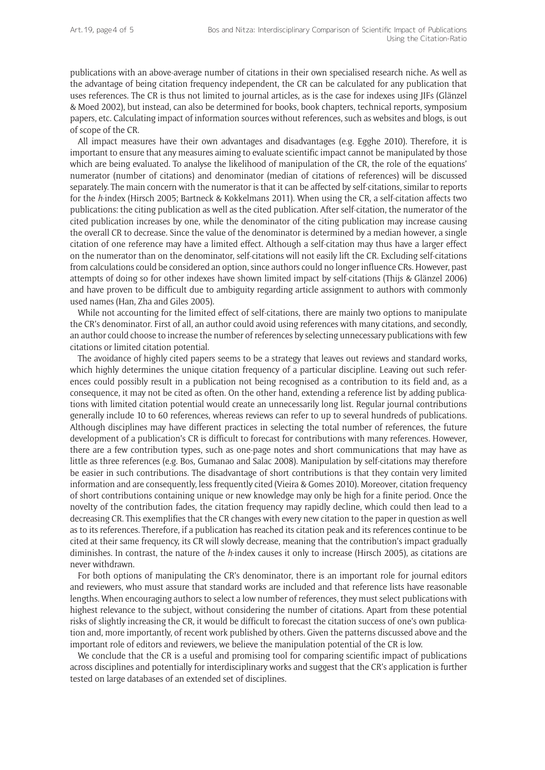publications with an above-average number of citations in their own specialised research niche. As well as the advantage of being citation frequency independent, the CR can be calculated for any publication that uses references. The CR is thus not limited to journal articles, as is the case for indexes using JIFs (Glänzel & Moed 2002), but instead, can also be determined for books, book chapters, technical reports, symposium papers, etc. Calculating impact of information sources without references, such as websites and blogs, is out of scope of the CR.

All impact measures have their own advantages and disadvantages (e.g. Egghe 2010). Therefore, it is important to ensure that any measures aiming to evaluate scientific impact cannot be manipulated by those which are being evaluated. To analyse the likelihood of manipulation of the CR, the role of the equations' numerator (number of citations) and denominator (median of citations of references) will be discussed separately. The main concern with the numerator is that it can be affected by self-citations, similar to reports for the *h*-index (Hirsch 2005; Bartneck & Kokkelmans 2011). When using the CR, a self-citation affects two publications: the citing publication as well as the cited publication. After self-citation, the numerator of the cited publication increases by one, while the denominator of the citing publication may increase causing the overall CR to decrease. Since the value of the denominator is determined by a median however, a single citation of one reference may have a limited effect. Although a self-citation may thus have a larger effect on the numerator than on the denominator, self-citations will not easily lift the CR. Excluding self-citations from calculations could be considered an option, since authors could no longer influence CRs. However, past attempts of doing so for other indexes have shown limited impact by self-citations (Thijs & Glänzel 2006) and have proven to be difficult due to ambiguity regarding article assignment to authors with commonly used names (Han, Zha and Giles 2005).

While not accounting for the limited effect of self-citations, there are mainly two options to manipulate the CR's denominator. First of all, an author could avoid using references with many citations, and secondly, an author could choose to increase the number of references by selecting unnecessary publications with few citations or limited citation potential.

The avoidance of highly cited papers seems to be a strategy that leaves out reviews and standard works, which highly determines the unique citation frequency of a particular discipline. Leaving out such references could possibly result in a publication not being recognised as a contribution to its field and, as a consequence, it may not be cited as often. On the other hand, extending a reference list by adding publications with limited citation potential would create an unnecessarily long list. Regular journal contributions generally include 10 to 60 references, whereas reviews can refer to up to several hundreds of publications. Although disciplines may have different practices in selecting the total number of references, the future development of a publication's CR is difficult to forecast for contributions with many references. However, there are a few contribution types, such as one-page notes and short communications that may have as little as three references (e.g. Bos, Gumanao and Salac 2008). Manipulation by self-citations may therefore be easier in such contributions. The disadvantage of short contributions is that they contain very limited information and are consequently, less frequently cited (Vieira & Gomes 2010). Moreover, citation frequency of short contributions containing unique or new knowledge may only be high for a finite period. Once the novelty of the contribution fades, the citation frequency may rapidly decline, which could then lead to a decreasing CR. This exemplifies that the CR changes with every new citation to the paper in question as well as to its references. Therefore, if a publication has reached its citation peak and its references continue to be cited at their same frequency, its CR will slowly decrease, meaning that the contribution's impact gradually diminishes. In contrast, the nature of the *h*-index causes it only to increase (Hirsch 2005), as citations are never withdrawn.

For both options of manipulating the CR's denominator, there is an important role for journal editors and reviewers, who must assure that standard works are included and that reference lists have reasonable lengths. When encouraging authors to select a low number of references, they must select publications with highest relevance to the subject, without considering the number of citations. Apart from these potential risks of slightly increasing the CR, it would be difficult to forecast the citation success of one's own publication and, more importantly, of recent work published by others. Given the patterns discussed above and the important role of editors and reviewers, we believe the manipulation potential of the CR is low.

We conclude that the CR is a useful and promising tool for comparing scientific impact of publications across disciplines and potentially for interdisciplinary works and suggest that the CR's application is further tested on large databases of an extended set of disciplines.